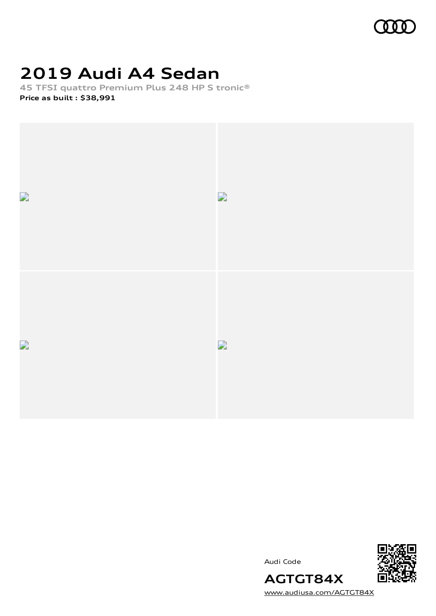

## **2019 Audi A4 Sedan**

**45 TFSI quattro Premium Plus 248 HP S tronic® Price as built [:](#page-7-0) \$38,991**



Audi Code



**AGTGT84X** [www.audiusa.com/AGTGT84X](https://www.audiusa.com/AGTGT84X)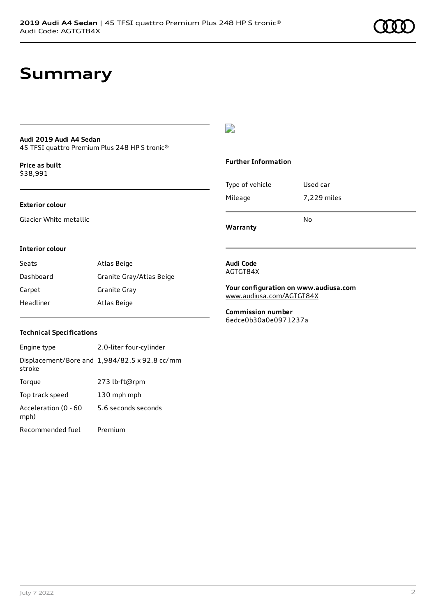## **Summary**

#### **Audi 2019 Audi A4 Sedan** 45 TFSI quattro Premium Plus 248 HP S tronic®

**Price as buil[t](#page-7-0)** \$38,991

## **Exterior colour**

Glacier White metallic

## $\overline{\phantom{a}}$

### **Further Information**

|                 | N٥          |
|-----------------|-------------|
| Mileage         | 7,229 miles |
| Type of vehicle | Used car    |

**Warranty**

### **Interior colour**

| Seats     | Atlas Beige              |
|-----------|--------------------------|
| Dashboard | Granite Gray/Atlas Beige |
| Carpet    | Granite Gray             |
| Headliner | Atlas Beige              |

#### **Audi Code** AGTGT84X

**Your configuration on www.audiusa.com** [www.audiusa.com/AGTGT84X](https://www.audiusa.com/AGTGT84X)

**Commission number** 6edce0b30a0e0971237a

### **Technical Specifications**

| Engine type                  | 2.0-liter four-cylinder                       |
|------------------------------|-----------------------------------------------|
| stroke                       | Displacement/Bore and 1,984/82.5 x 92.8 cc/mm |
| Torque                       | 273 lb-ft@rpm                                 |
| Top track speed              | 130 mph mph                                   |
| Acceleration (0 - 60<br>mph) | 5.6 seconds seconds                           |
| Recommended fuel             | Premium                                       |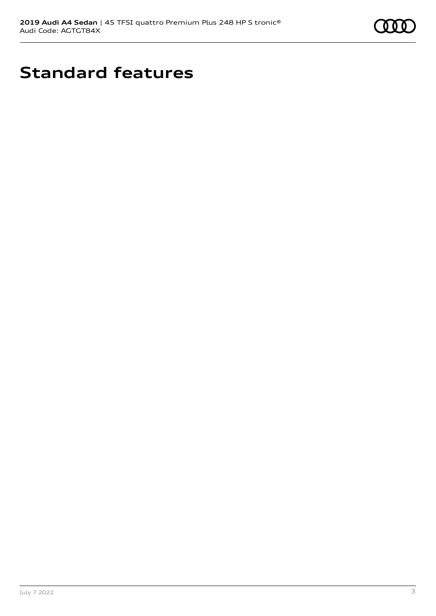

# **Standard features**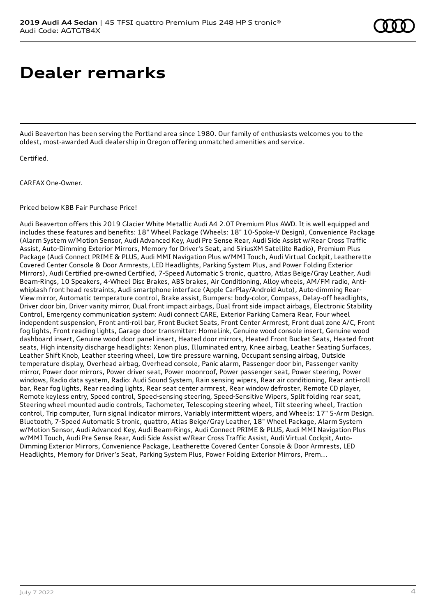## **Dealer remarks**

Audi Beaverton has been serving the Portland area since 1980. Our family of enthusiasts welcomes you to the oldest, most-awarded Audi dealership in Oregon offering unmatched amenities and service.

Certified.

CARFAX One-Owner.

Priced below KBB Fair Purchase Price!

Audi Beaverton offers this 2019 Glacier White Metallic Audi A4 2.0T Premium Plus AWD. It is well equipped and includes these features and benefits: 18" Wheel Package (Wheels: 18" 10-Spoke-V Design), Convenience Package (Alarm System w/Motion Sensor, Audi Advanced Key, Audi Pre Sense Rear, Audi Side Assist w/Rear Cross Traffic Assist, Auto-Dimming Exterior Mirrors, Memory for Driver's Seat, and SiriusXM Satellite Radio), Premium Plus Package (Audi Connect PRIME & PLUS, Audi MMI Navigation Plus w/MMI Touch, Audi Virtual Cockpit, Leatherette Covered Center Console & Door Armrests, LED Headlights, Parking System Plus, and Power Folding Exterior Mirrors), Audi Certified pre-owned Certified, 7-Speed Automatic S tronic, quattro, Atlas Beige/Gray Leather, Audi Beam-Rings, 10 Speakers, 4-Wheel Disc Brakes, ABS brakes, Air Conditioning, Alloy wheels, AM/FM radio, Antiwhiplash front head restraints, Audi smartphone interface (Apple CarPlay/Android Auto), Auto-dimming Rear-View mirror, Automatic temperature control, Brake assist, Bumpers: body-color, Compass, Delay-off headlights, Driver door bin, Driver vanity mirror, Dual front impact airbags, Dual front side impact airbags, Electronic Stability Control, Emergency communication system: Audi connect CARE, Exterior Parking Camera Rear, Four wheel independent suspension, Front anti-roll bar, Front Bucket Seats, Front Center Armrest, Front dual zone A/C, Front fog lights, Front reading lights, Garage door transmitter: HomeLink, Genuine wood console insert, Genuine wood dashboard insert, Genuine wood door panel insert, Heated door mirrors, Heated Front Bucket Seats, Heated front seats, High intensity discharge headlights: Xenon plus, Illuminated entry, Knee airbag, Leather Seating Surfaces, Leather Shift Knob, Leather steering wheel, Low tire pressure warning, Occupant sensing airbag, Outside temperature display, Overhead airbag, Overhead console, Panic alarm, Passenger door bin, Passenger vanity mirror, Power door mirrors, Power driver seat, Power moonroof, Power passenger seat, Power steering, Power windows, Radio data system, Radio: Audi Sound System, Rain sensing wipers, Rear air conditioning, Rear anti-roll bar, Rear fog lights, Rear reading lights, Rear seat center armrest, Rear window defroster, Remote CD player, Remote keyless entry, Speed control, Speed-sensing steering, Speed-Sensitive Wipers, Split folding rear seat, Steering wheel mounted audio controls, Tachometer, Telescoping steering wheel, Tilt steering wheel, Traction control, Trip computer, Turn signal indicator mirrors, Variably intermittent wipers, and Wheels: 17" 5-Arm Design. Bluetooth, 7-Speed Automatic S tronic, quattro, Atlas Beige/Gray Leather, 18" Wheel Package, Alarm System w/Motion Sensor, Audi Advanced Key, Audi Beam-Rings, Audi Connect PRIME & PLUS, Audi MMI Navigation Plus w/MMI Touch, Audi Pre Sense Rear, Audi Side Assist w/Rear Cross Traffic Assist, Audi Virtual Cockpit, Auto-Dimming Exterior Mirrors, Convenience Package, Leatherette Covered Center Console & Door Armrests, LED Headlights, Memory for Driver's Seat, Parking System Plus, Power Folding Exterior Mirrors, Prem...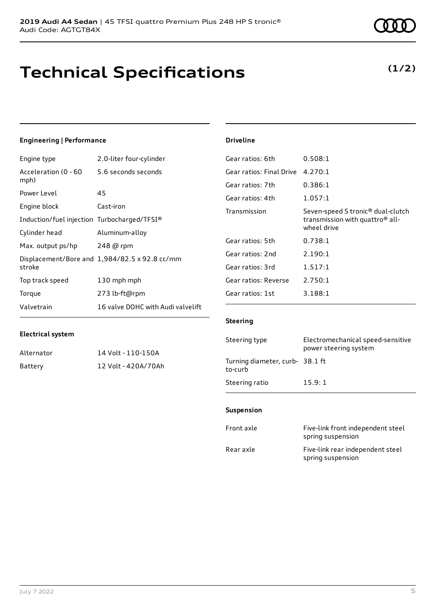## **Technical Specifications**

## **(1/2)**

### **Engineering | Performance**

| Engine type                                 | 2.0-liter four-cylinder                       |
|---------------------------------------------|-----------------------------------------------|
| Acceleration (0 - 60<br>mph)                | 5.6 seconds seconds                           |
| Power Level                                 | 45                                            |
| Engine block                                | Cast-iron                                     |
| Induction/fuel injection Turbocharged/TFSI® |                                               |
| Cylinder head                               | Aluminum-alloy                                |
| Max. output ps/hp                           | 248 @ rpm                                     |
| stroke                                      | Displacement/Bore and 1,984/82.5 x 92.8 cc/mm |
| Top track speed                             | 130 mph mph                                   |
| Torque                                      | 273 lb-ft@rpm                                 |
| Valvetrain                                  | 16 valve DOHC with Audi valvelift             |

### **Driveline**

| 4.270:1                                                                                                     |
|-------------------------------------------------------------------------------------------------------------|
| 0.386:1                                                                                                     |
| 1.057:1                                                                                                     |
| Seven-speed S tronic <sup>®</sup> dual-clutch<br>transmission with quattro <sup>®</sup> all-<br>wheel drive |
| 0.738:1                                                                                                     |
| 2.190:1                                                                                                     |
| 1.517:1                                                                                                     |
| 2.750:1                                                                                                     |
| 3.188:1                                                                                                     |
|                                                                                                             |

### **Electrical system**

| Alternator | 14 Volt - 110-150A  |
|------------|---------------------|
| Battery    | 12 Volt - 420A/70Ah |

#### **Steering**

| Steering type                             | Electromechanical speed-sensitive<br>power steering system |
|-------------------------------------------|------------------------------------------------------------|
| Turning diameter, curb-38.1 ft<br>to-curb |                                                            |
| Steering ratio                            | 15.9:1                                                     |

#### **Suspension**

| Front axle | Five-link front independent steel<br>spring suspension |
|------------|--------------------------------------------------------|
| Rear axle  | Five-link rear independent steel<br>spring suspension  |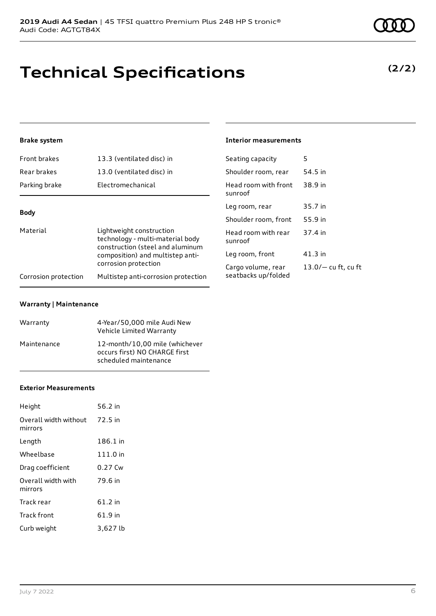## **Technical Specifications**

## **Brake system**

| Front brakes                                                                                                                                     | 13.3 (ventilated disc) in           | Seating capacity                | 5                     |
|--------------------------------------------------------------------------------------------------------------------------------------------------|-------------------------------------|---------------------------------|-----------------------|
| Rear brakes                                                                                                                                      | 13.0 (ventilated disc) in           | Shoulder room, rear             | 54.5 in               |
| Parking brake                                                                                                                                    | Electromechanical                   | Head room with front<br>sunroof | 38.9 in               |
| <b>Body</b>                                                                                                                                      |                                     | Leg room, rear                  | 35.7 in               |
|                                                                                                                                                  |                                     | Shoulder room, front            | 55.9 in               |
| Material<br>Lightweight construction<br>technology - multi-material body<br>construction (steel and aluminum<br>composition) and multistep anti- | Head room with rear<br>sunroof      | 37.4 in                         |                       |
|                                                                                                                                                  | Leg room, front                     | $41.3$ in                       |                       |
|                                                                                                                                                  | corrosion protection                | Cargo volume, rear              | $13.0/-$ cu ft, cu ft |
| Corrosion protection                                                                                                                             | Multistep anti-corrosion protection | seatbacks up/folded             |                       |

### **Warranty | Maintenance**

| Warranty    | 4-Year/50,000 mile Audi New<br>Vehicle Limited Warranty                                  |
|-------------|------------------------------------------------------------------------------------------|
| Maintenance | 12-month/10.00 mile (whichever<br>occurs first) NO CHARGE first<br>scheduled maintenance |

#### **Exterior Measurements**

| Height                           | 56.2 in   |
|----------------------------------|-----------|
| Overall width without<br>mirrors | 72.5 in   |
| Length                           | 186.1 in  |
| Wheelbase                        | 111.0 in  |
| Drag coefficient                 | $0.27$ Cw |
| Overall width with<br>mirrors    | 79.6 in   |
| Track rear                       | 61.2 in   |
| Track front                      | 61.9 in   |
| Curb weight                      | 3,627 lb  |

## **Interior measurements**

| Seating capacity                          | 5                     |
|-------------------------------------------|-----------------------|
| Shoulder room, rear                       | 54.5 in               |
| Head room with front<br>sunroof           | 38.9 in               |
| Leg room, rear                            | 35.7 in               |
| Shoulder room, front                      | 55.9 in               |
| Head room with rear<br>sunroof            | 37.4 in               |
| Leg room, front                           | 41.3 in               |
| Cargo volume, rear<br>seatbacks up/folded | $13.0/-$ cu ft, cu ft |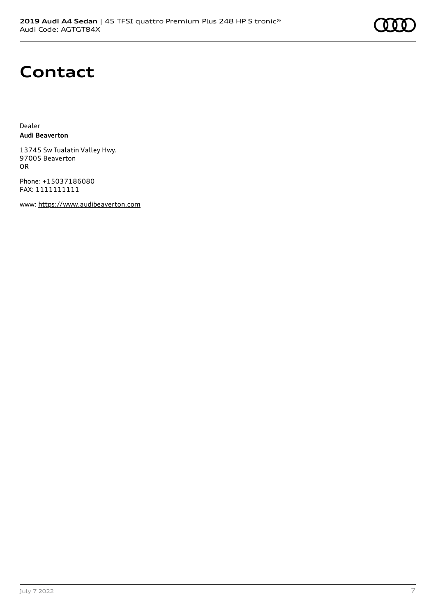# **Contact**

Dealer **Audi Beaverton**

13745 Sw Tualatin Valley Hwy. 97005 Beaverton OR

Phone: +15037186080 FAX: 1111111111

www: [https://www.audibeaverton.com](https://www.audibeaverton.com/)